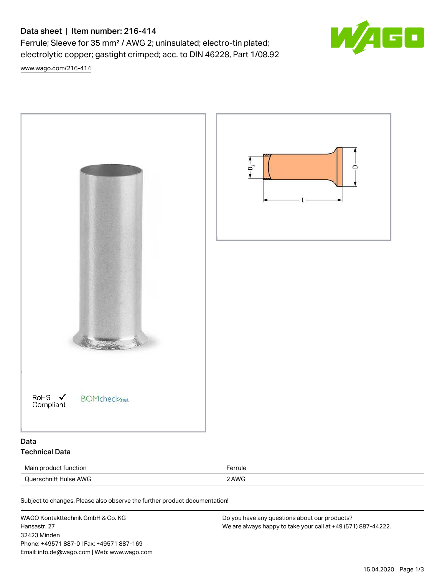## Data sheet | Item number: 216-414

Ferrule; Sleeve for 35 mm² / AWG 2; uninsulated; electro-tin plated; electrolytic copper; gastight crimped; acc. to DIN 46228, Part 1/08.92

[www.wago.com/216-414](http://www.wago.com/216-414)



Subject to changes. Please also observe the further product documentation!

WAGO Kontakttechnik GmbH & Co. KG Hansastr. 27 32423 Minden Phone: +49571 887-0 | Fax: +49571 887-169 Email: info.de@wago.com | Web: www.wago.com

Do you have any questions about our products? We are always happy to take your call at +49 (571) 887-44222.

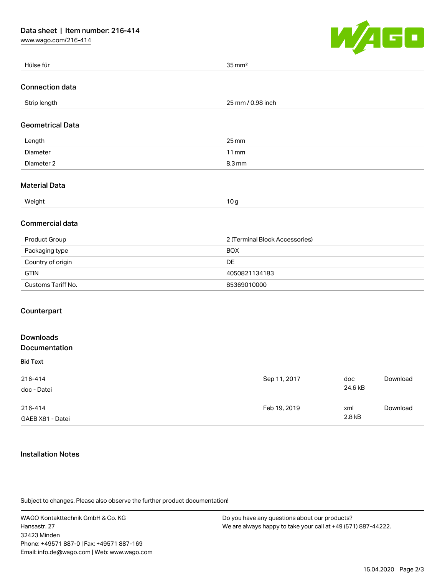[www.wago.com/216-414](http://www.wago.com/216-414)



|                                   | — <del>—</del>                 |
|-----------------------------------|--------------------------------|
| Hülse für                         | $35 \,\mathrm{mm}^2$           |
| <b>Connection data</b>            |                                |
| Strip length                      | 25 mm / 0.98 inch              |
| <b>Geometrical Data</b>           |                                |
| Length                            | $25 \, \text{mm}$              |
| Diameter                          | $11$ mm                        |
| Diameter 2                        | 8.3 mm                         |
| <b>Material Data</b>              |                                |
| Weight                            | 10g                            |
| <b>Commercial data</b>            |                                |
| Product Group                     | 2 (Terminal Block Accessories) |
| Packaging type                    | <b>BOX</b>                     |
| Country of origin                 | DE                             |
| <b>GTIN</b>                       | 4050821134183                  |
| Customs Tariff No.                | 85369010000                    |
| Counterpart                       |                                |
| <b>Downloads</b><br>Documentation |                                |
|                                   |                                |

## Bid Text

| 216-414<br>doc - Datei      | Sep 11, 2017 | doc<br>24.6 kB | Download |
|-----------------------------|--------------|----------------|----------|
| 216-414<br>GAEB X81 - Datei | Feb 19, 2019 | xml<br>2.8 kB  | Download |

## Installation Notes

Subject to changes. Please also observe the further product documentation!

WAGO Kontakttechnik GmbH & Co. KG Hansastr. 27 32423 Minden Phone: +49571 887-0 | Fax: +49571 887-169 Email: info.de@wago.com | Web: www.wago.com

Do you have any questions about our products? We are always happy to take your call at +49 (571) 887-44222.